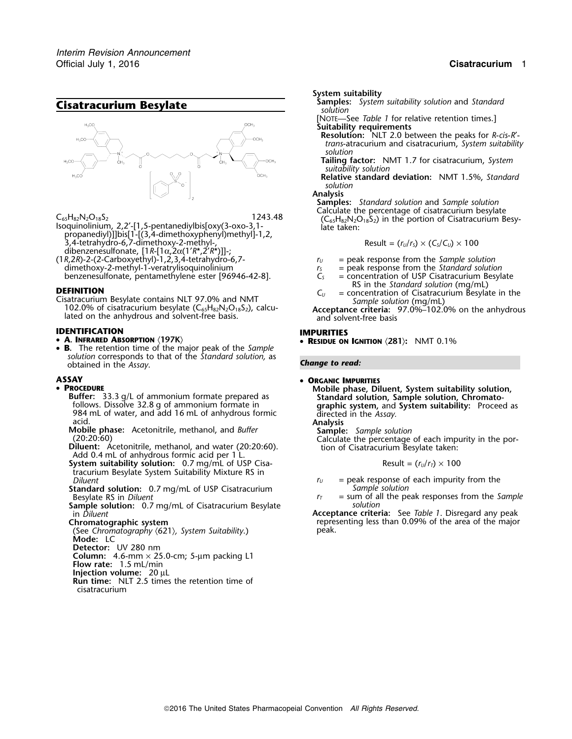

- propanediyl)]]bis[1-[(3,4-dimethoxyphenyl)methyl]-1,2,  $3.4$ -tetrahydro-6,7-dimethoxy-2-methyl-, Result =  $(r_U/r_S) \times (C_S/C_U) \times 100$ dibenzenesulfonate, [1*R*-[1<sup>α</sup>,2α(1′*R*\*,2′*R*\*)]]-;
- (1*R*,2*R*)-2-(2-Carboxyethyl)-1,2,3,4-tetrahydro-6,7- *<sup>r</sup><sup>U</sup>* = peak response from the *Sample solution* dimethoxy-2-methyl-1-veratrylisoquinolinium  $r_s$  = peak response from the *Standard solution*<br>benzenesulfonate, pentamethylene ester [96946-42-8].  $C_s$  = concentration of USP Cisatracurium Besylate benzenesulfonate, pentamethylene ester [96946-42-8].

**DEFINITION**<br>Cisatracurium Besylate contains NLT 97.0% and NMT<br>102.0% of cisatracurium besylate (C<sub>65</sub>H<sub>82</sub>N<sub>2</sub>O<sub>18</sub>S<sub>2</sub>), calcu-<br>lated on the anhydrous and solvent-free basis.<br>and solvent-free basis<br>and solvent-free basi

## **IDENTIFICATION IMPURITIES**

### • **A. INFRARED ABSORPTION** 〈**197K**〉 •

• **B.** The retention time of the major peak of the *Sample solution* corresponds to that of the *Standard solution,* as obtained in the *Assay Change to read:* .

# **ASSAY** •

- **PROCEDURE** 
	- 984 mL of water, and add 16 mL of anhydrous formic<br>
	acid. Mobile phase: Acetonitrile, methanol, and *Buffer*<br>
	(20:20:60) Calculate the percentage of each impurity in the por-<br> **Diluent:** Acetonitrile, methanol, and water (
	-
	-
	- **System suitability solution:** 0.7 mg/mL of USP Cisatracurium Besylate System Suitability Mixture RS in
	- **Standard solution:** 0.7 mg/mL of USP Cisatracurium<br>Besylate RS in *Diluent*
	- **Sample solution:** 0.7 mg/mL of Cisatracurium Besylate in *Diluent*
	-
	- (See *Chromatography* 〈621〉*, System Suitability*.) peak. **Mode:** LC
	- **Detector:** UV 280 nm
	- **Column:** 4.6-mm × 25.0-cm; 5-µm packing L1
	- **Flow rate:** 1.5 mL/min
	- **Injection volume:** 20 µL
	- **Run time:** NLT 2.5 times the retention time of cisatracurium

*.* **System suitability**

- **Samples:** *System suitability solution* and *Standard* **Cisatracurium Besylate** *solution*
	- [NOTE—See *Table 1* for relative retention times.]
	- **Suitability requirements**
	- **Resolution:** NLT 2.0 between the peaks for *R*-*cis*-*R*′ *trans*-atracurium and cisatracurium, *System suitability solution*
	- **Tailing factor:** NMT 1.7 for cisatracurium, *System suitability solution*

**Relative standard deviation:** NMT 1.5%, *Standard solution*

**Analysis**

**Samples:** *Standard solution* and *Sample solution*  $\mathsf{C}_{65}\mathsf{H}_{82}\mathsf{N}_2\mathsf{O}_{18}\mathsf{S}_2$   $\mathsf{C}_{65}\mathsf{H}_{82}\mathsf{N}_2\mathsf{O}_{18}\mathsf{S}_2$  and the percentage of cisatracurium besylate<br>Isoquinolinium, 2,2′-[1,5-pentanediylbis[oxy(3-oxo-3,1- late taken: late taken:

$$
Result = (r_U/r_S) \times (C_S/C_U) \times 100
$$

- 
- 
- 
- 
- 

**RESIDUE ON IGNITION** 〈**281**〉**:** NMT 0.1%

## **ORGANIC IMPURITIES**

**ROCEDURE**<br> **Buffer:** 33.3 g/L of ammonium formate prepared as **Standard solution, Sample solution, Chromato-**<br>
follows. Dissolve 32.8 g of ammonium formate in **Standard solution, Sample solution, Chromato-**<br>
984 mL of wat

$$
Result = (r_U/r_T) \times 100
$$

- $p_U =$  peak response of each impurity from the *Sample solution*
- = sum of all the peak responses from the *Sample*<br>*solution*

Acceptance criteria: See *Table 1*. Disregard any peak **Chromatographic system**<br>(See Chromatography (621), System Suitability.) eak. peak. peak of the area of the major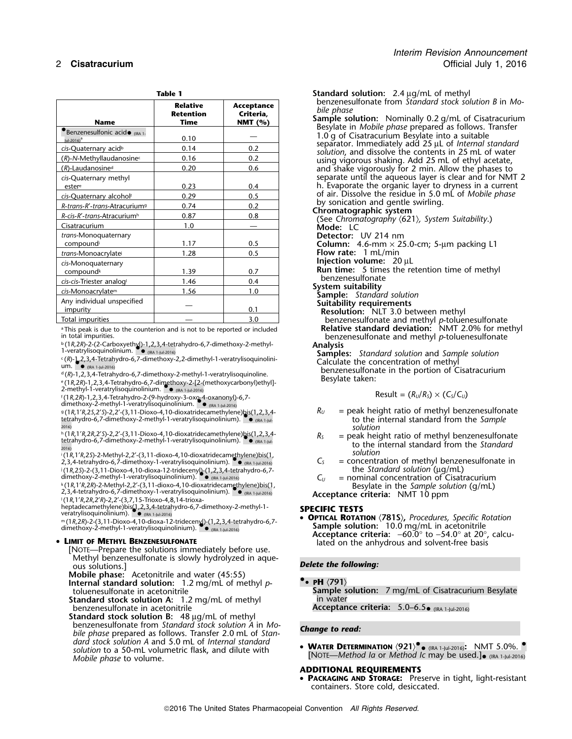| <b>Name</b>                              | <b>Relative</b><br><b>Retention</b><br>Time | Acceptance<br>Criteria,<br>NMT $(%)$ | benzenesulfonate from Standard stock solution B<br>bile phase<br>Sample solution: Nominally 0.2 g/mL of Cisatra |
|------------------------------------------|---------------------------------------------|--------------------------------------|-----------------------------------------------------------------------------------------------------------------|
| <b>Benzenesulfonic acide</b> (IRA 1.     |                                             |                                      | Besylate in Mobile phase prepared as follows. Tra                                                               |
| lul-2016) $^a$                           | 0.10                                        |                                      | 1.0 g of Cisatracurium Besylate into a suitable                                                                 |
| cis-Quaternary acid <sup>b</sup>         | 0.14                                        | 0.2                                  | separator. Immediately add 25 µL of Internal stai<br>solution, and dissolve the contents in 25 mL of w          |
| $(R)$ -N-Methyllaudanosinec              | 0.16                                        | 0.2                                  | using vigorous shaking. Add 25 mL of ethyl acet                                                                 |
| $(R)$ -Laudanosine <sup>d</sup>          | 0.20                                        | 0.6                                  | and shake vigorously for 2 min. Allow the phase                                                                 |
| cis-Quaternary methyl                    |                                             |                                      | separate until the aqueous layer is clear and for                                                               |
| estere                                   | 0.23                                        | 0.4                                  | h. Evaporate the organic layer to dryness in a cu                                                               |
| cis-Quaternary alcoholf                  | 0.29                                        | 0.5                                  | of air. Dissolve the residue in 5.0 mL of Mobile p                                                              |
| R-trans-R'-trans-Atracurium <sup>9</sup> | 0.74                                        | 0.2                                  | by sonication and gentle swirling.                                                                              |
| R-cis-R'-trans-Atracuriumh               | 0.87                                        | 0.8                                  | Chromatographic system                                                                                          |
| Cisatracurium                            | 1.0                                         |                                      | (See Chromatography ⟨621⟩, System Suitability.)<br>Mode: LC                                                     |
| trans-Monoquaternary                     |                                             |                                      | Detector: UV 214 nm                                                                                             |
| compound                                 | 1.17                                        | 0.5                                  | Column: 4.6-mm $\times$ 25.0-cm; 5-µm packing L1                                                                |
| trans-Monoacrylate                       | 1.28                                        | 0.5                                  | Flow rate: 1 mL/min                                                                                             |
| cis-Monoquaternary                       |                                             |                                      | Injection volume: $20 \mu L$                                                                                    |
| compound <sup>k</sup>                    | 1.39                                        | 0.7                                  | <b>Run time:</b> 5 times the retention time of methy                                                            |
| cis-cis-Triester analogl                 | 1.46                                        | 0.4                                  | benzenesulfonate                                                                                                |
| cis-Monoacrylate <sup>m</sup>            | 1.56                                        | 1.0                                  | System suitability                                                                                              |
| Any individual unspecified               |                                             |                                      | <b>Sample:</b> Standard solution<br><b>Suitability requirements</b>                                             |
| impurity                                 |                                             | 0.1                                  | <b>Resolution:</b> NLT 3.0 between methyl                                                                       |
| Total impurities                         |                                             | 3.0                                  | benzenesulfonate and methyl p-toluenesulfona                                                                    |
|                                          |                                             |                                      |                                                                                                                 |

<sup>a</sup> This peak is due to the counterion and is not to be reported or included in total impurities.

b .(1*R*,2*R*)-2-(2-Carboxyethyl)-1,2,3,4-tetrahydro-6,7-dimethoxy-2-methyl- **Analysis** 1-veratrylisoquinolinium. •. •

.(*R*)-1,2,3,4-Tetrahydro-6,7-dimethoxy-2,2-dimethyl-1-veratrylisoquinolini- Calculate the concentration of methyl um. •. • (IRA 1-Jul-2016)

(1, *P, 2, P, 1, Calarystice of a . 1 calarystice of a . 1 calarystic methoxycarbonyl)ethyl]-<br>
2-methyl-1-veratrylisoquinolinium. ● <sub>(RA 1-Jul-2016)</sub><br>2-methyl-1-veratrylisoquinolinium. ● (RA 1-Jul-2016)* 

 $F(1R, 2R)$ -1, 2,3,4-Tetrahydro-2-(9-hydroxy-3-oxo-4-oxanonyl)-6,7-<br>
dimethoxy-2-methyl-1-veratrylisoquinolinium.  $\bullet$ <sub>0(RA</sub> 1<sub>3</sub>u-2016)

g(1R,1'R,2'S,2'S)-2,2'-(3,11-Dioxo-4,10-dioxatridecamethylene)bis(1,2,3,4-<br>tetrahydro-6,7-dimethoxy-2-methyl-1-veratrylisoquinolinium).  $\bullet$  <sub>ORA 1-jul-</sub> for the internal standard from the *Sample* 

2016) *solution* h .(1*R*,1′*R*,2*R*,2′*S*)-2,2′-(3,11-Dioxo-4,10-dioxatridecamethylene)bis(1,2,3,4- *<sup>R</sup><sup>S</sup>* = peak height ratio of methyl benzenesulfonate tetrahydro-6,7-dimethoxy-2-methyl-1-veratrylisoquinolinium). •. •

i (1*R*,1′*R,2S*)-2-Methyl-2,2′-(3,11-dioxo-4,10-dioxatridecamethylene)bis(1, *solution*<br>2,3,4-tetrahydro-6,7-dimethoxy-1-veratrylisoquinolinium). ● <sub>(ℝ4 1-Ju</sub>,2016) C<sub>S</sub> = **concentr** j .(1*R*,2*S*)-2-(3,11-Dioxo-4,10-dioxa-12-tridecenyl)-(1,2,3,4-tetrahydro-6,7- the *Standard solution* (µg/mL) dimethoxy-2-methyl-1-veratrylisoquinolinium). •. •

k (1*R*,1'*R,2R*)-2-Methyl-2,2'-(3,11-dioxo-4,10-dioxatridecamethylene)bis(1,<br>2,3,4-tetrahydro-6,7-dimethoxy-1-veratrylisoquinolinium). • <sub>(RA 1-Jul-2016)</sub> Acce**ntance criteria:** NMT 10 npm l .(1*R*,1′*R*,2*R*,2′*R*)-2,2′-(3,7,15-Trioxo-4,8,14-trioxa-

heptadecamethylene)bis(1,2,3,4-tetrahydro-6,7-dimethoxy-2-methyl-1- **SPECIFIC TESTS** veratrylisoquinolinium). •. • (IRA 1-Jul-2016)

m (1*R,2R*)-2-(3,11-Dioxo-4,10-dioxa-12-tridecenyl)-(1,2,3,4-tetrahydro-6,7-<br>dimethoxy-2-methyl-1-veratrylisoquinolinium). ●● <sub>(IRA 1-Jul-2016)</sub>

### • LIMIT OF METHYL BENZENESULFONATE

**LOLLY IMIT OF MITHYL BENZENESULFONATE** lated on the anhydrous and solvent-free basis [NOTE—Prepare the solutions immediately before use. Methyl benzenesulfonate is slowly hydrolyzed in aque-<br>ous solutions.]

**Mobile phase:** Acetonitrile and water (45:55) **Internal standard solution:** 1.2 mg/mL of methyl *p*- **•.**• **<sup>P</sup>H** 〈**791**〉

**Standard stock solution A:** 1.2 mg/mL of methyl benzenesulfonate in acetonitrile

**Standard stock solution B:** 48 µg/mL of methyl benzenesulfonate from Standard stock solution A in Mobenzenesulfonate from *Standard stock solution A* in *Mo- Change to read: bile phase* prepared as follows. Transfer 2.0 mL of *Standard stock solution A* and 5.0 mL of *Internal standard solution* to a 50-mL volumetric flask, and dilute with Solution to a SU-ffit volumetric flask, and dilute with **If** [NOTE—*Method Ia* or *Method Ic* may be used.]• (IRA 1-Jul-2016) (IRA 11-Jul-2016)

Standard solution: 2.4 µg/mL of methyl benzenesulfonate from *Standard stock solution B* in *Mo- bile phase* **Sample solution:** Nominally 0.2 g/mL of Cisatracurium Besylate in *Mobile phase* prepared as follows. Transfer 1.0 q of Cisatracurium Besylate into a suitable separator. Immediately add 25 µL of *Internal standard*<br>solution, and dissolve the contents in 25 mL of water using vigorous shaking. Add 25 mL of ethyl acetate, and shake vigorously for 2 min. Allow the phases to separate until the aqueous layer is clear and for NMT 2 h. Evaporate the organic layer to dryness in a current of air. Dissolve the residue in 5.0 mL of *Mobile phase* by sonication and gentle swirling. Chromatographic system<br>(See Chromatography (621), System Suitability.)<br>Mode: LC **Detector:** UV 214 nm

**Resolution:** NLT 3.0 between methyl **The impurities and methyl** *p***-toluenesulfonate**<br>Relative standard deviation: NMT 2.0% for methyl benzenesulfonate and methyl *p*-toluenesulfonate<br>**Analysis** 

**Samples:** *Standard solution* and *Sample solution* Calculate the concentration of methyl

d .(*R*)-1,2,3,4-Tetrahydro-6,7-dimethoxy-2-methyl-1-veratrylisoquinoline. benzenesulfonate in the portion of Cisatracurium

$$
Result = (R_U/R_S) \times (C_S/C_U)
$$

- to the internal standard from the Sample
- (Etrahydro-6,7-dimethoxy-2-methyl-1-veratrylisoquinolinium).<br> **Example 18 Contract Contract Contract Contract Contract Contract Contract Contract Contract Contract Contract Contract Contract Contract Contract Contract Cont** 
	- $C_5$  = concentration of methyl benzenesulfonate in the *Standard solution* ( $\mu$ g/mL)
	- $C_U$  = nominal concentration of Cisatracurium Besylate in the *Sample solution* (g/mL)<br>**Acceptance criteria:** NMT 10 ppm

<sup>m</sup> • **OPTICAL ROTATION** 〈**781S**〉**,** *Procedures, Specific Rotation* **Sample solution:** 10.0 mg/mL in acetonitrile • **Sample solution:** 10.0 mg/mL in acetonitrile **Acceptance criteria:** <sup>−</sup>60.0° to −54.0° at 20°, calcu-

## **Delete the following:**

**Sample solution:** 7 mg/mL of Cisatracurium Besylate<br>in water

Acceptance criteria:  $5.0-6.5\bullet$  (IRA 1-Jul-2016)

• **<sup>W</sup>ATER DETERMINATION** 〈**921**〉**•.** • (IRA 1-Jul-2016)**:** NMT 5.0%. •.

## **ADDITIONAL REQUIREMENTS**

• **PACKAGING AND STORAGE:** Preserve in tight, light-resistant containers. Store cold, desiccated.